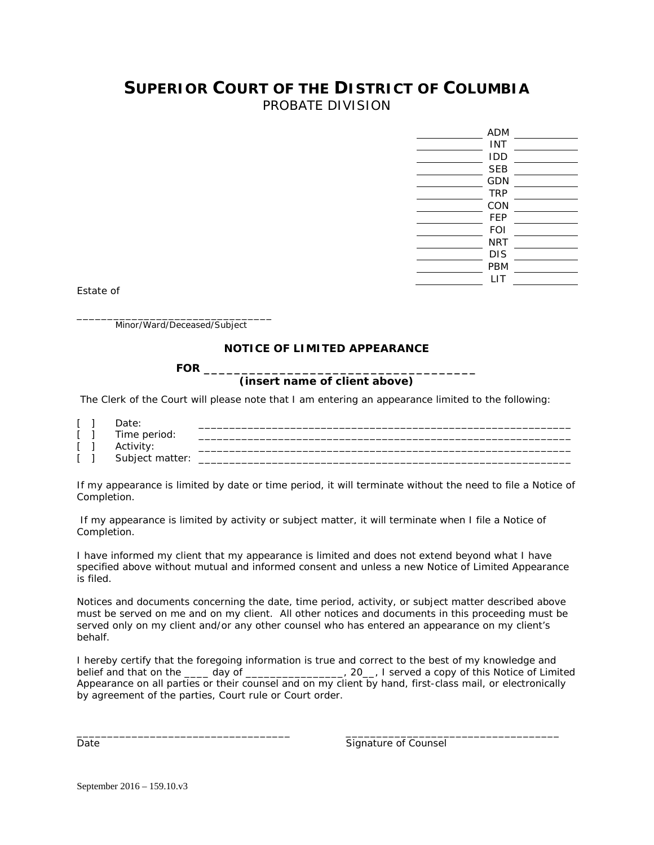# **SUPERIOR COURT OF THE DISTRICT OF COLUMBIA** PROBATE DIVISION

| <b>ADM</b> |  |
|------------|--|
| INT        |  |
| IDD        |  |
| <b>SEB</b> |  |
| GDN        |  |
| <b>TRP</b> |  |
| CON        |  |
| FEP        |  |
| <b>FOI</b> |  |
| NRT        |  |
| <b>DIS</b> |  |
| PBM        |  |
| LIT        |  |
|            |  |

Estate of

\_\_\_\_\_\_\_\_\_\_\_\_\_\_\_\_\_\_\_\_\_\_\_\_\_\_\_\_\_\_\_\_ Minor/Ward/Deceased/Subject

### **NOTICE OF LIMITED APPEARANCE**

**FOR \_\_\_\_\_\_\_\_\_\_\_\_\_\_\_\_\_\_\_\_\_\_\_\_\_\_\_\_\_\_\_\_\_\_\_\_**

#### **(insert name of client above)**

The Clerk of the Court will please note that I am entering an appearance limited to the following:

- [ ] Date: \_\_\_\_\_\_\_\_\_\_\_\_\_\_\_\_\_\_\_\_\_\_\_\_\_\_\_\_\_\_\_\_\_\_\_\_\_\_\_\_\_\_\_\_\_\_\_\_\_\_\_\_\_\_\_\_\_\_\_\_\_
- [ ] Time period:<br>[ ] Activity:
- [ ] Activity: \_\_\_\_\_\_\_\_\_\_\_\_\_\_\_\_\_\_\_\_\_\_\_\_\_\_\_\_\_\_\_\_\_\_\_\_\_\_\_\_\_\_\_\_\_\_\_\_\_\_\_\_\_\_\_\_\_\_\_\_\_
- [ ] Subject matter: \_\_\_\_\_\_\_\_\_\_\_\_\_\_\_\_\_\_\_\_\_\_\_\_\_\_\_\_\_\_\_\_\_\_\_\_\_\_\_\_\_\_\_\_\_\_\_\_\_\_\_\_\_\_\_\_\_\_\_\_\_

If my appearance is limited by date or time period, it will terminate without the need to file a Notice of Completion.

If my appearance is limited by activity or subject matter, it will terminate when I file a Notice of Completion.

I have informed my client that my appearance is limited and does not extend beyond what I have specified above without mutual and informed consent and unless a new Notice of Limited Appearance is filed.

Notices and documents concerning the date, time period, activity, or subject matter described above must be served on me and on my client. All other notices and documents in this proceeding must be served only on my client and/or any other counsel who has entered an appearance on my client's behalf.

I hereby certify that the foregoing information is true and correct to the best of my knowledge and belief and that on the \_\_\_\_ day of \_\_\_\_\_\_\_\_\_\_\_\_\_\_\_\_, 20\_\_, I served a copy of this Notice of Limited Appearance on all parties or their counsel and on my client by hand, first-class mail, or electronically by agreement of the parties, Court rule or Court order.

\_\_\_\_\_\_\_\_\_\_\_\_\_\_\_\_\_\_\_\_\_\_\_\_\_\_\_\_\_\_\_\_\_\_\_ \_\_\_\_\_\_\_\_\_\_\_\_\_\_\_\_\_\_\_\_\_\_\_\_\_\_\_\_\_\_\_\_\_\_\_

Date **Signature of Counsel**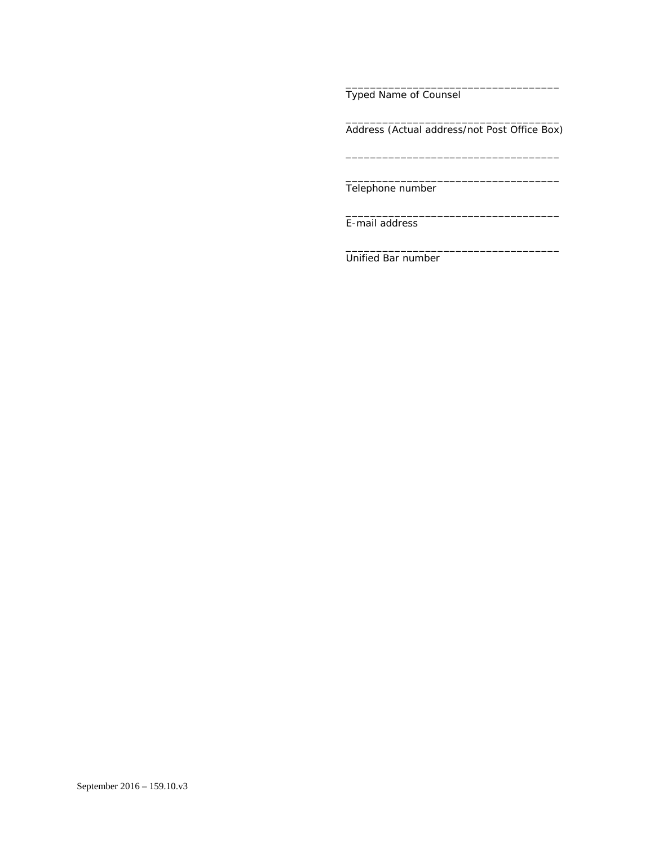Typed Name of Counsel

Address (Actual address/not Post Office Box)

\_\_\_\_\_\_\_\_\_\_\_\_\_\_\_\_\_\_\_\_\_\_\_\_\_\_\_\_\_\_\_\_\_\_\_

\_\_\_\_\_\_\_\_\_\_\_\_\_\_\_\_\_\_\_\_\_\_\_\_\_\_\_\_\_\_\_\_\_\_\_

\_\_\_\_\_\_\_\_\_\_\_\_\_\_\_\_\_\_\_\_\_\_\_\_\_\_\_\_\_\_\_\_\_\_\_

\_\_\_\_\_\_\_\_\_\_\_\_\_\_\_\_\_\_\_\_\_\_\_\_\_\_\_\_\_\_\_\_\_\_\_

\_\_\_\_\_\_\_\_\_\_\_\_\_\_\_\_\_\_\_\_\_\_\_\_\_\_\_\_\_\_\_\_\_\_\_

\_\_\_\_\_\_\_\_\_\_\_\_\_\_\_\_\_\_\_\_\_\_\_\_\_\_\_\_\_\_\_\_\_\_\_

Telephone number

E-mail address

Unified Bar number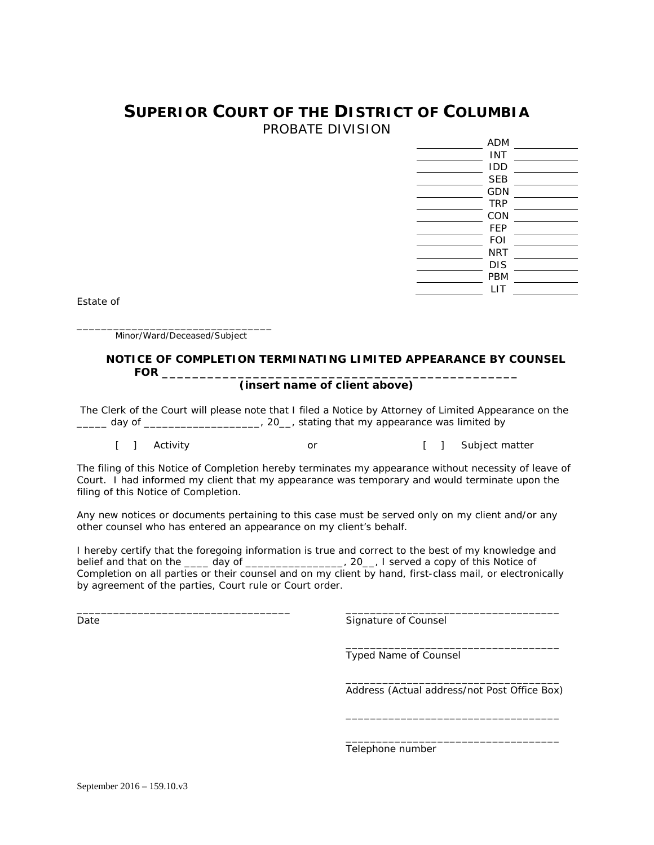# **SUPERIOR COURT OF THE DISTRICT OF COLUMBIA** PROBATE DIVISION

| <b>ADM</b> |  |
|------------|--|
| INT        |  |
| IDD        |  |
| <b>SEB</b> |  |
| GDN        |  |
| <b>TRP</b> |  |
| CON        |  |
| FEP        |  |
| <b>FOI</b> |  |
| NRT        |  |
| DIS        |  |
| PBM        |  |
| LIT        |  |
|            |  |

Estate of

\_\_\_\_\_\_\_\_\_\_\_\_\_\_\_\_\_\_\_\_\_\_\_\_\_\_\_\_\_\_\_\_ Minor/Ward/Deceased/Subject

## **NOTICE OF COMPLETION TERMINATING LIMITED APPEARANCE BY COUNSEL FOR \_\_\_\_\_\_\_\_\_\_\_\_\_\_\_\_\_\_\_\_\_\_\_\_\_\_\_\_\_\_\_\_\_\_\_\_\_\_\_\_\_\_\_\_\_\_\_**

## **(insert name of client above)**

The Clerk of the Court will please note that I filed a Notice by Attorney of Limited Appearance on the \_\_\_\_\_ day of \_\_\_\_\_\_\_\_\_\_\_\_\_\_\_\_\_\_\_\_\_, 20\_\_, stating that my appearance was limited by

[ ] Activity or [ ] Subject matter

The filing of this Notice of Completion hereby terminates my appearance without necessity of leave of Court. I had informed my client that my appearance was temporary and would terminate upon the filing of this Notice of Completion.

Any new notices or documents pertaining to this case must be served only on my client and/or any other counsel who has entered an appearance on my client's behalf.

I hereby certify that the foregoing information is true and correct to the best of my knowledge and belief and that on the \_\_\_\_ day of \_\_\_\_\_\_\_\_\_\_\_\_\_\_\_\_, 20\_\_, I served a copy of this Notice of Completion on all parties or their counsel and on my client by hand, first-class mail, or electronically by agreement of the parties, Court rule or Court order.

\_\_\_\_\_\_\_\_\_\_\_\_\_\_\_\_\_\_\_\_\_\_\_\_\_\_\_\_\_\_\_\_\_\_\_ \_\_\_\_\_\_\_\_\_\_\_\_\_\_\_\_\_\_\_\_\_\_\_\_\_\_\_\_\_\_\_\_\_\_\_

Date **Signature of Counsel** 

Typed Name of Counsel

\_\_\_\_\_\_\_\_\_\_\_\_\_\_\_\_\_\_\_\_\_\_\_\_\_\_\_\_\_\_\_\_\_\_\_

\_\_\_\_\_\_\_\_\_\_\_\_\_\_\_\_\_\_\_\_\_\_\_\_\_\_\_\_\_\_\_\_\_\_\_

\_\_\_\_\_\_\_\_\_\_\_\_\_\_\_\_\_\_\_\_\_\_\_\_\_\_\_\_\_\_\_\_\_\_\_

\_\_\_\_\_\_\_\_\_\_\_\_\_\_\_\_\_\_\_\_\_\_\_\_\_\_\_\_\_\_\_\_\_\_\_

Address (Actual address/not Post Office Box)

Telephone number